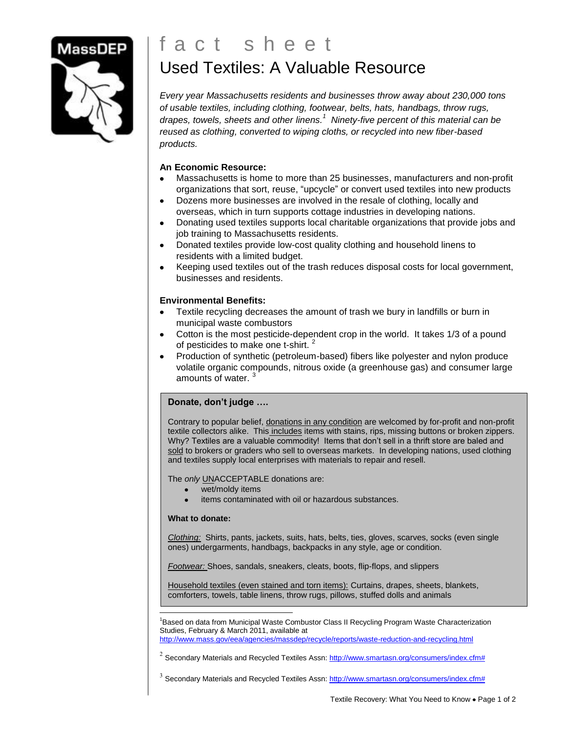

# f a c t s h e e t Used Textiles: A Valuable Resource

*Every year Massachusetts residents and businesses throw away about 230,000 tons of usable textiles, including clothing, footwear, belts, hats, handbags, throw rugs, drapes, towels, sheets and other linens. 1 Ninety-five percent of this material can be reused as clothing, converted to wiping cloths, or recycled into new fiber-based products.*

## **An Economic Resource:**

- Massachusetts is home to more than 25 businesses, manufacturers and non-profit organizations that sort, reuse, "upcycle" or convert used textiles into new products
- Dozens more businesses are involved in the resale of clothing, locally and  $\bullet$ overseas, which in turn supports cottage industries in developing nations.
- Donating used textiles supports local charitable organizations that provide jobs and  $\bullet$ job training to Massachusetts residents.
- $\bullet$ Donated textiles provide low-cost quality clothing and household linens to residents with a limited budget.
- Keeping used textiles out of the trash reduces disposal costs for local government,  $\bullet$ businesses and residents.

## **Environmental Benefits:**

- Textile recycling decreases the amount of trash we bury in landfills or burn in municipal waste combustors
- Cotton is the most pesticide-dependent crop in the world. It takes 1/3 of a pound of pesticides to make one t-shirt.<sup>2</sup>
- Production of synthetic (petroleum-based) fibers like polyester and nylon produce volatile organic compounds, nitrous oxide (a greenhouse gas) and consumer large amounts of water. <sup>3</sup>

## **Donate, don't judge ….**

Contrary to popular belief, donations in any condition are welcomed by for-profit and non-profit textile collectors alike. This includes items with stains, rips, missing buttons or broken zippers. Why? Textiles are a valuable commodity! Items that don't sell in a thrift store are baled and sold to brokers or graders who sell to overseas markets. In developing nations, used clothing and textiles supply local enterprises with materials to repair and resell.

The *only* UNACCEPTABLE donations are:

- wet/moldy items  $\bullet$
- items contaminated with oil or hazardous substances. ä.

#### **What to donate:**

*Clothing:* Shirts, pants, jackets, suits, hats, belts, ties, gloves, scarves, socks (even single ones) undergarments, handbags, backpacks in any style, age or condition.

*Footwear:* Shoes, sandals, sneakers, cleats, boots, flip-flops, and slippers

Household textiles (even stained and torn items): Curtains, drapes, sheets, blankets, comforters, towels, table linens, throw rugs, pillows, stuffed dolls and animals

Ī <sup>1</sup>Based on data from Municipal Waste Combustor Class II Recycling Program Waste Characterization Studies, February & March 2011, available at

<http://www.mass.gov/eea/agencies/massdep/recycle/reports/waste-reduction-and-recycling.html>

 $^2$  Secondary Materials and Recycled Textiles Assn[: http://www.smartasn.org/consumers/index.cfm#](http://www.smartasn.org/consumers/index.cfm)

 $3$  Secondary Materials and Recycled Textiles Assn[: http://www.smartasn.org/consumers/index.cfm#](http://www.smartasn.org/consumers/index.cfm)